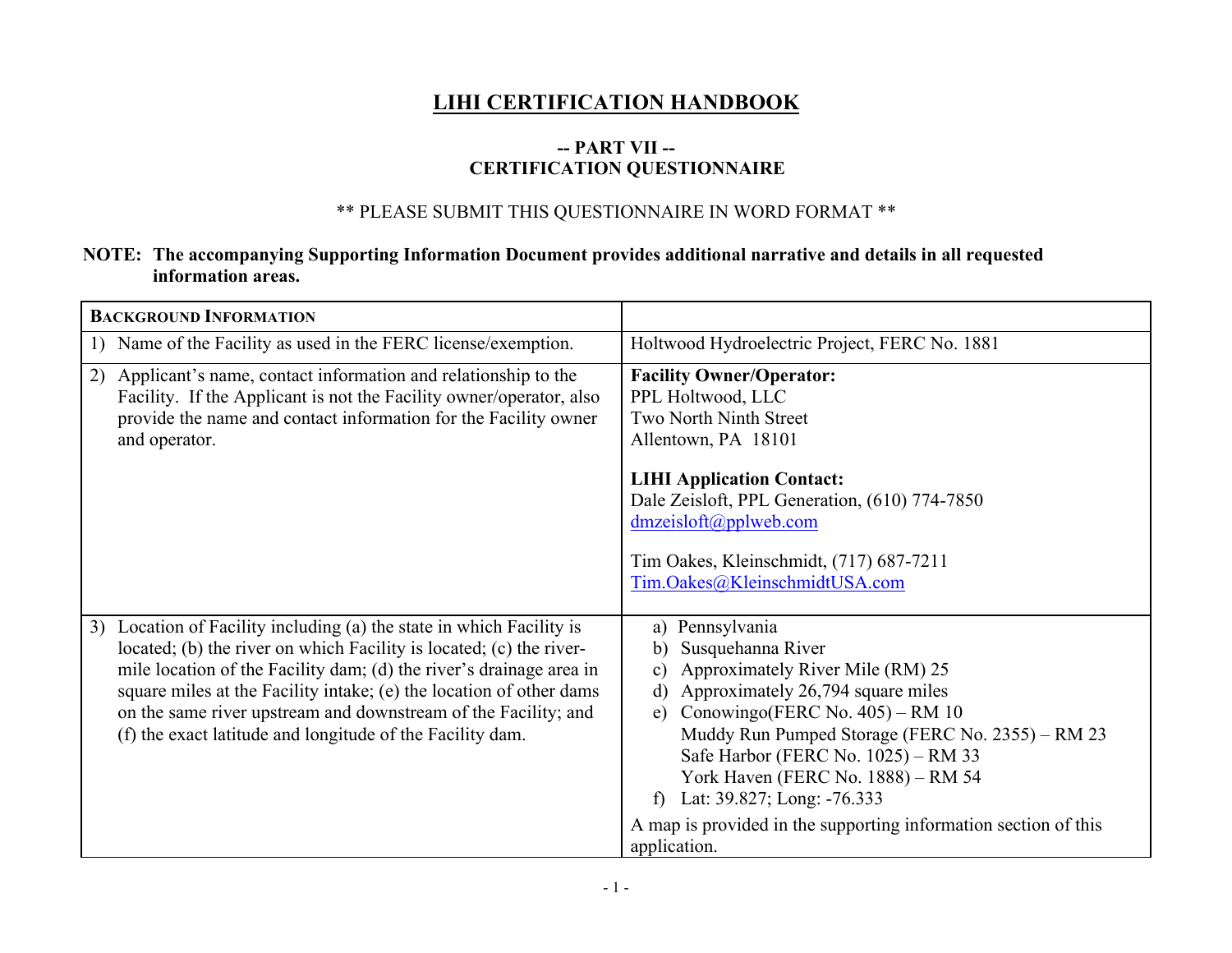## **LIHI CERTIFICATION HANDBOOK**

## **-- PART VII -- CERTIFICATION QUESTIONNAIRE**

## \*\* PLEASE SUBMIT THIS QUESTIONNAIRE IN WORD FORMAT \*\*

## **NOTE: The accompanying Supporting Information Document provides additional narrative and details in all requested information areas.**

| <b>BACKGROUND INFORMATION</b>                                                                                                                                                                                                                                                                                                                                                                                               |                                                                                                                                                                                                                                                                                                                                                                                                                                              |
|-----------------------------------------------------------------------------------------------------------------------------------------------------------------------------------------------------------------------------------------------------------------------------------------------------------------------------------------------------------------------------------------------------------------------------|----------------------------------------------------------------------------------------------------------------------------------------------------------------------------------------------------------------------------------------------------------------------------------------------------------------------------------------------------------------------------------------------------------------------------------------------|
| Name of the Facility as used in the FERC license/exemption.<br>$\mathbf{I}$                                                                                                                                                                                                                                                                                                                                                 | Holtwood Hydroelectric Project, FERC No. 1881                                                                                                                                                                                                                                                                                                                                                                                                |
| Applicant's name, contact information and relationship to the<br>2)<br>Facility. If the Applicant is not the Facility owner/operator, also<br>provide the name and contact information for the Facility owner<br>and operator.                                                                                                                                                                                              | <b>Facility Owner/Operator:</b><br>PPL Holtwood, LLC<br>Two North Ninth Street<br>Allentown, PA 18101<br><b>LIHI Application Contact:</b><br>Dale Zeisloft, PPL Generation, (610) 774-7850<br>dmzeisloft@pplweb.com<br>Tim Oakes, Kleinschmidt, (717) 687-7211<br>Tim.Oakes@KleinschmidtUSA.com                                                                                                                                              |
| Location of Facility including (a) the state in which Facility is<br>3)<br>located; (b) the river on which Facility is located; (c) the river-<br>mile location of the Facility dam; (d) the river's drainage area in<br>square miles at the Facility intake; (e) the location of other dams<br>on the same river upstream and downstream of the Facility; and<br>(f) the exact latitude and longitude of the Facility dam. | a) Pennsylvania<br>Susquehanna River<br>b)<br>Approximately River Mile (RM) 25<br>C)<br>Approximately 26,794 square miles<br>$\mathbf{d}$<br>Conowingo(FERC No. $405$ ) – RM 10<br>e)<br>Muddy Run Pumped Storage (FERC No. 2355) – RM 23<br>Safe Harbor (FERC No. 1025) – RM 33<br>York Haven (FERC No. 1888) - RM 54<br>Lat: 39.827; Long: -76.333<br>f<br>A map is provided in the supporting information section of this<br>application. |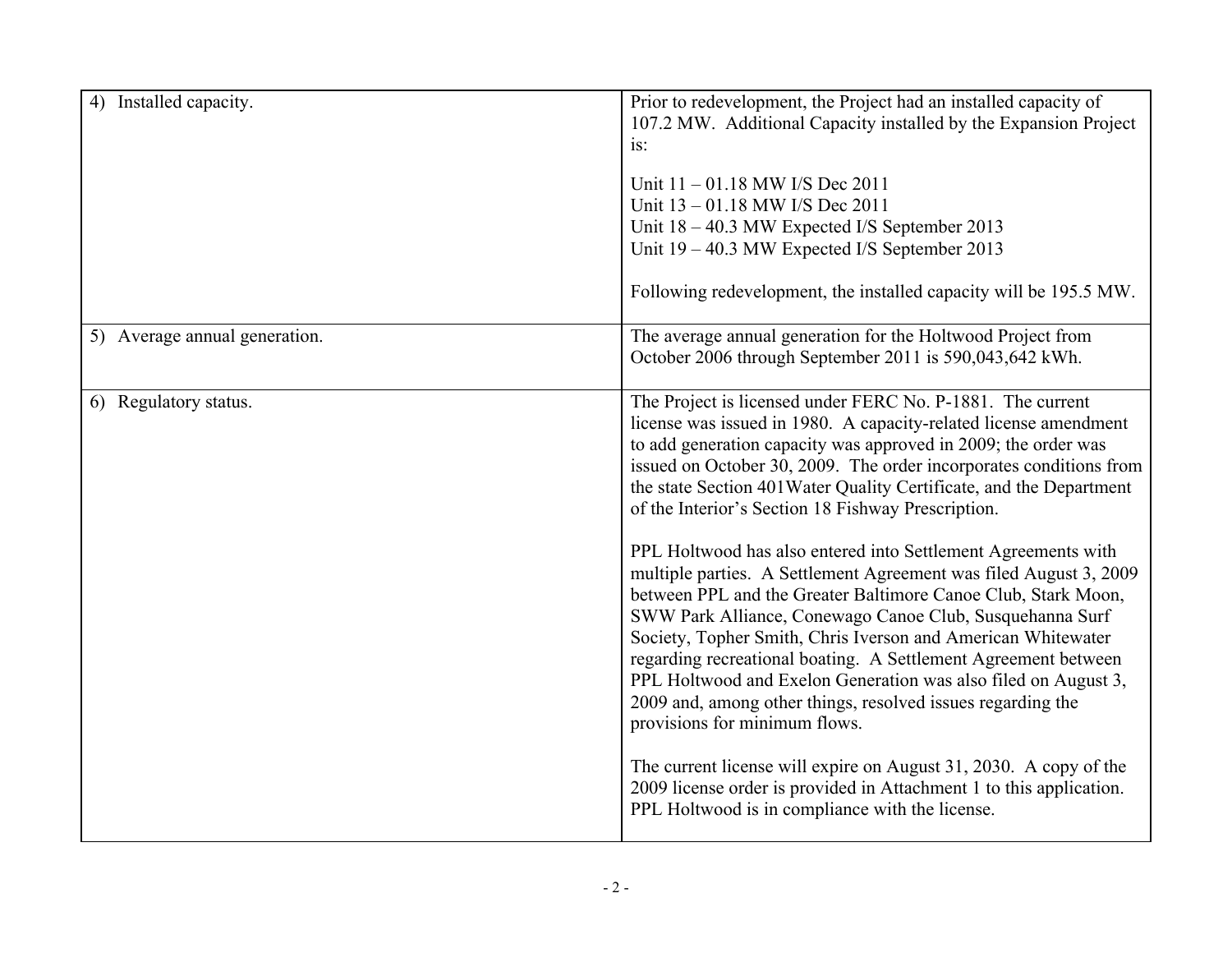| 4)<br>Installed capacity.     | Prior to redevelopment, the Project had an installed capacity of<br>107.2 MW. Additional Capacity installed by the Expansion Project<br>is:<br>Unit 11 - 01.18 MW I/S Dec 2011<br>Unit 13 - 01.18 MW I/S Dec 2011<br>Unit 18 - 40.3 MW Expected I/S September 2013<br>Unit 19 - 40.3 MW Expected I/S September 2013<br>Following redevelopment, the installed capacity will be 195.5 MW.                                                                                                                                                                                                                                                                                                                                                                                                                                                                                                                                                                                                                                                                                                                                                                                  |
|-------------------------------|---------------------------------------------------------------------------------------------------------------------------------------------------------------------------------------------------------------------------------------------------------------------------------------------------------------------------------------------------------------------------------------------------------------------------------------------------------------------------------------------------------------------------------------------------------------------------------------------------------------------------------------------------------------------------------------------------------------------------------------------------------------------------------------------------------------------------------------------------------------------------------------------------------------------------------------------------------------------------------------------------------------------------------------------------------------------------------------------------------------------------------------------------------------------------|
| 5) Average annual generation. | The average annual generation for the Holtwood Project from<br>October 2006 through September 2011 is 590,043,642 kWh.                                                                                                                                                                                                                                                                                                                                                                                                                                                                                                                                                                                                                                                                                                                                                                                                                                                                                                                                                                                                                                                    |
| 6) Regulatory status.         | The Project is licensed under FERC No. P-1881. The current<br>license was issued in 1980. A capacity-related license amendment<br>to add generation capacity was approved in 2009; the order was<br>issued on October 30, 2009. The order incorporates conditions from<br>the state Section 401 Water Quality Certificate, and the Department<br>of the Interior's Section 18 Fishway Prescription.<br>PPL Holtwood has also entered into Settlement Agreements with<br>multiple parties. A Settlement Agreement was filed August 3, 2009<br>between PPL and the Greater Baltimore Canoe Club, Stark Moon,<br>SWW Park Alliance, Conewago Canoe Club, Susquehanna Surf<br>Society, Topher Smith, Chris Iverson and American Whitewater<br>regarding recreational boating. A Settlement Agreement between<br>PPL Holtwood and Exelon Generation was also filed on August 3,<br>2009 and, among other things, resolved issues regarding the<br>provisions for minimum flows.<br>The current license will expire on August 31, 2030. A copy of the<br>2009 license order is provided in Attachment 1 to this application.<br>PPL Holtwood is in compliance with the license. |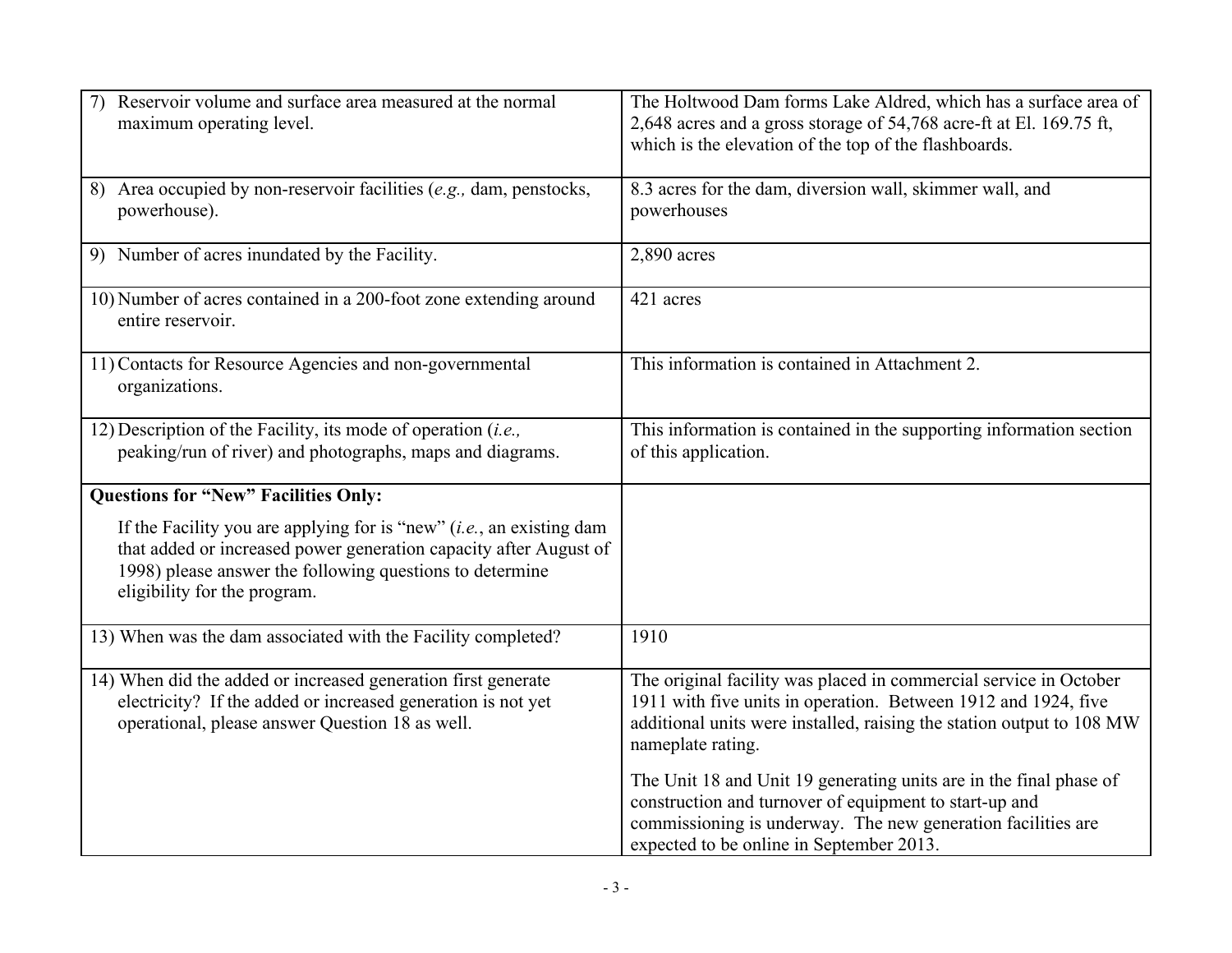| Reservoir volume and surface area measured at the normal<br>maximum operating level.                                                                                                                                                     | The Holtwood Dam forms Lake Aldred, which has a surface area of<br>2,648 acres and a gross storage of 54,768 acre-ft at El. 169.75 ft,<br>which is the elevation of the top of the flashboards.                                          |
|------------------------------------------------------------------------------------------------------------------------------------------------------------------------------------------------------------------------------------------|------------------------------------------------------------------------------------------------------------------------------------------------------------------------------------------------------------------------------------------|
| 8) Area occupied by non-reservoir facilities (e.g., dam, penstocks,<br>powerhouse).                                                                                                                                                      | 8.3 acres for the dam, diversion wall, skimmer wall, and<br>powerhouses                                                                                                                                                                  |
| 9) Number of acres inundated by the Facility.                                                                                                                                                                                            | 2,890 acres                                                                                                                                                                                                                              |
| 10) Number of acres contained in a 200-foot zone extending around<br>entire reservoir.                                                                                                                                                   | 421 acres                                                                                                                                                                                                                                |
| 11) Contacts for Resource Agencies and non-governmental<br>organizations.                                                                                                                                                                | This information is contained in Attachment 2.                                                                                                                                                                                           |
| 12) Description of the Facility, its mode of operation $(i.e.,$<br>peaking/run of river) and photographs, maps and diagrams.                                                                                                             | This information is contained in the supporting information section<br>of this application.                                                                                                                                              |
| <b>Questions for "New" Facilities Only:</b>                                                                                                                                                                                              |                                                                                                                                                                                                                                          |
| If the Facility you are applying for is "new" $(i.e., an existing dam)$<br>that added or increased power generation capacity after August of<br>1998) please answer the following questions to determine<br>eligibility for the program. |                                                                                                                                                                                                                                          |
| 13) When was the dam associated with the Facility completed?                                                                                                                                                                             | 1910                                                                                                                                                                                                                                     |
| 14) When did the added or increased generation first generate<br>electricity? If the added or increased generation is not yet<br>operational, please answer Question 18 as well.                                                         | The original facility was placed in commercial service in October<br>1911 with five units in operation. Between 1912 and 1924, five<br>additional units were installed, raising the station output to 108 MW<br>nameplate rating.        |
|                                                                                                                                                                                                                                          | The Unit 18 and Unit 19 generating units are in the final phase of<br>construction and turnover of equipment to start-up and<br>commissioning is underway. The new generation facilities are<br>expected to be online in September 2013. |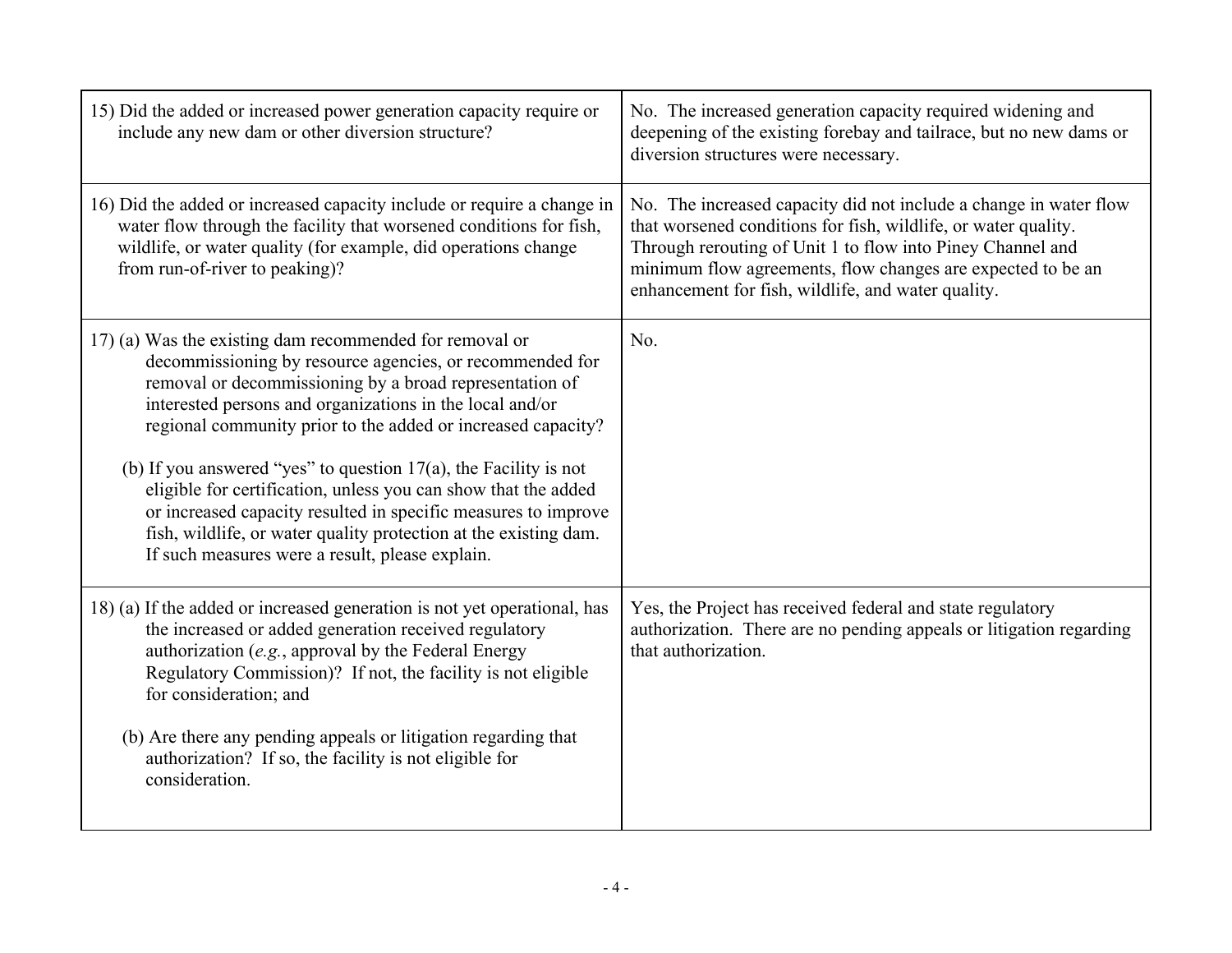| 15) Did the added or increased power generation capacity require or<br>include any new dam or other diversion structure?                                                                                                                                                                                                                                                                                                                                                                                                                                                                                                                     | No. The increased generation capacity required widening and<br>deepening of the existing forebay and tailrace, but no new dams or<br>diversion structures were necessary.                                                                                                                                              |
|----------------------------------------------------------------------------------------------------------------------------------------------------------------------------------------------------------------------------------------------------------------------------------------------------------------------------------------------------------------------------------------------------------------------------------------------------------------------------------------------------------------------------------------------------------------------------------------------------------------------------------------------|------------------------------------------------------------------------------------------------------------------------------------------------------------------------------------------------------------------------------------------------------------------------------------------------------------------------|
| 16) Did the added or increased capacity include or require a change in<br>water flow through the facility that worsened conditions for fish,<br>wildlife, or water quality (for example, did operations change<br>from run-of-river to peaking)?                                                                                                                                                                                                                                                                                                                                                                                             | No. The increased capacity did not include a change in water flow<br>that worsened conditions for fish, wildlife, or water quality.<br>Through rerouting of Unit 1 to flow into Piney Channel and<br>minimum flow agreements, flow changes are expected to be an<br>enhancement for fish, wildlife, and water quality. |
| 17) (a) Was the existing dam recommended for removal or<br>decommissioning by resource agencies, or recommended for<br>removal or decommissioning by a broad representation of<br>interested persons and organizations in the local and/or<br>regional community prior to the added or increased capacity?<br>(b) If you answered "yes" to question $17(a)$ , the Facility is not<br>eligible for certification, unless you can show that the added<br>or increased capacity resulted in specific measures to improve<br>fish, wildlife, or water quality protection at the existing dam.<br>If such measures were a result, please explain. | No.                                                                                                                                                                                                                                                                                                                    |
| 18) (a) If the added or increased generation is not yet operational, has<br>the increased or added generation received regulatory<br>authorization $(e.g.,$ approval by the Federal Energy<br>Regulatory Commission)? If not, the facility is not eligible<br>for consideration; and<br>(b) Are there any pending appeals or litigation regarding that<br>authorization? If so, the facility is not eligible for<br>consideration.                                                                                                                                                                                                           | Yes, the Project has received federal and state regulatory<br>authorization. There are no pending appeals or litigation regarding<br>that authorization.                                                                                                                                                               |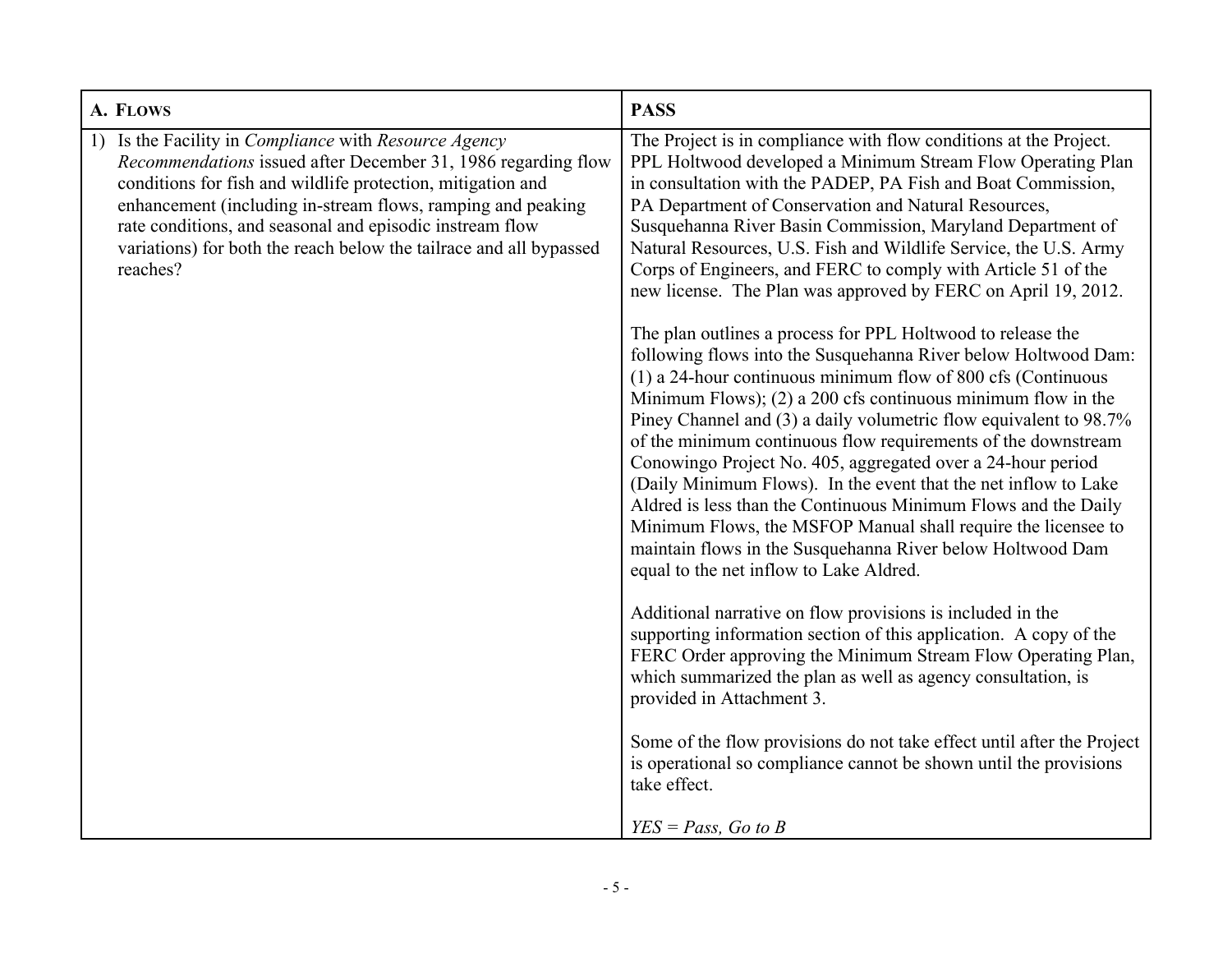| A. FLOWS                                                                                                                                                                                                                                                                                                                                                                                        | <b>PASS</b>                                                                                                                                                                                                                                                                                                                                                                                                                                                                                                                                                                                                                                                                                                                                                                                                                                                                                                                                                                                                                                                                                                                                                                                                                                                                |
|-------------------------------------------------------------------------------------------------------------------------------------------------------------------------------------------------------------------------------------------------------------------------------------------------------------------------------------------------------------------------------------------------|----------------------------------------------------------------------------------------------------------------------------------------------------------------------------------------------------------------------------------------------------------------------------------------------------------------------------------------------------------------------------------------------------------------------------------------------------------------------------------------------------------------------------------------------------------------------------------------------------------------------------------------------------------------------------------------------------------------------------------------------------------------------------------------------------------------------------------------------------------------------------------------------------------------------------------------------------------------------------------------------------------------------------------------------------------------------------------------------------------------------------------------------------------------------------------------------------------------------------------------------------------------------------|
| Is the Facility in Compliance with Resource Agency<br>Recommendations issued after December 31, 1986 regarding flow<br>conditions for fish and wildlife protection, mitigation and<br>enhancement (including in-stream flows, ramping and peaking<br>rate conditions, and seasonal and episodic instream flow<br>variations) for both the reach below the tailrace and all bypassed<br>reaches? | The Project is in compliance with flow conditions at the Project.<br>PPL Holtwood developed a Minimum Stream Flow Operating Plan<br>in consultation with the PADEP, PA Fish and Boat Commission,<br>PA Department of Conservation and Natural Resources,<br>Susquehanna River Basin Commission, Maryland Department of<br>Natural Resources, U.S. Fish and Wildlife Service, the U.S. Army<br>Corps of Engineers, and FERC to comply with Article 51 of the<br>new license. The Plan was approved by FERC on April 19, 2012.<br>The plan outlines a process for PPL Holtwood to release the<br>following flows into the Susquehanna River below Holtwood Dam:<br>$(1)$ a 24-hour continuous minimum flow of 800 cfs (Continuous<br>Minimum Flows); $(2)$ a 200 cfs continuous minimum flow in the<br>Piney Channel and (3) a daily volumetric flow equivalent to 98.7%<br>of the minimum continuous flow requirements of the downstream<br>Conowingo Project No. 405, aggregated over a 24-hour period<br>(Daily Minimum Flows). In the event that the net inflow to Lake<br>Aldred is less than the Continuous Minimum Flows and the Daily<br>Minimum Flows, the MSFOP Manual shall require the licensee to<br>maintain flows in the Susquehanna River below Holtwood Dam |
|                                                                                                                                                                                                                                                                                                                                                                                                 | equal to the net inflow to Lake Aldred.<br>Additional narrative on flow provisions is included in the<br>supporting information section of this application. A copy of the<br>FERC Order approving the Minimum Stream Flow Operating Plan,<br>which summarized the plan as well as agency consultation, is<br>provided in Attachment 3.<br>Some of the flow provisions do not take effect until after the Project<br>is operational so compliance cannot be shown until the provisions<br>take effect.<br>$YES = Pass, Go to B$                                                                                                                                                                                                                                                                                                                                                                                                                                                                                                                                                                                                                                                                                                                                            |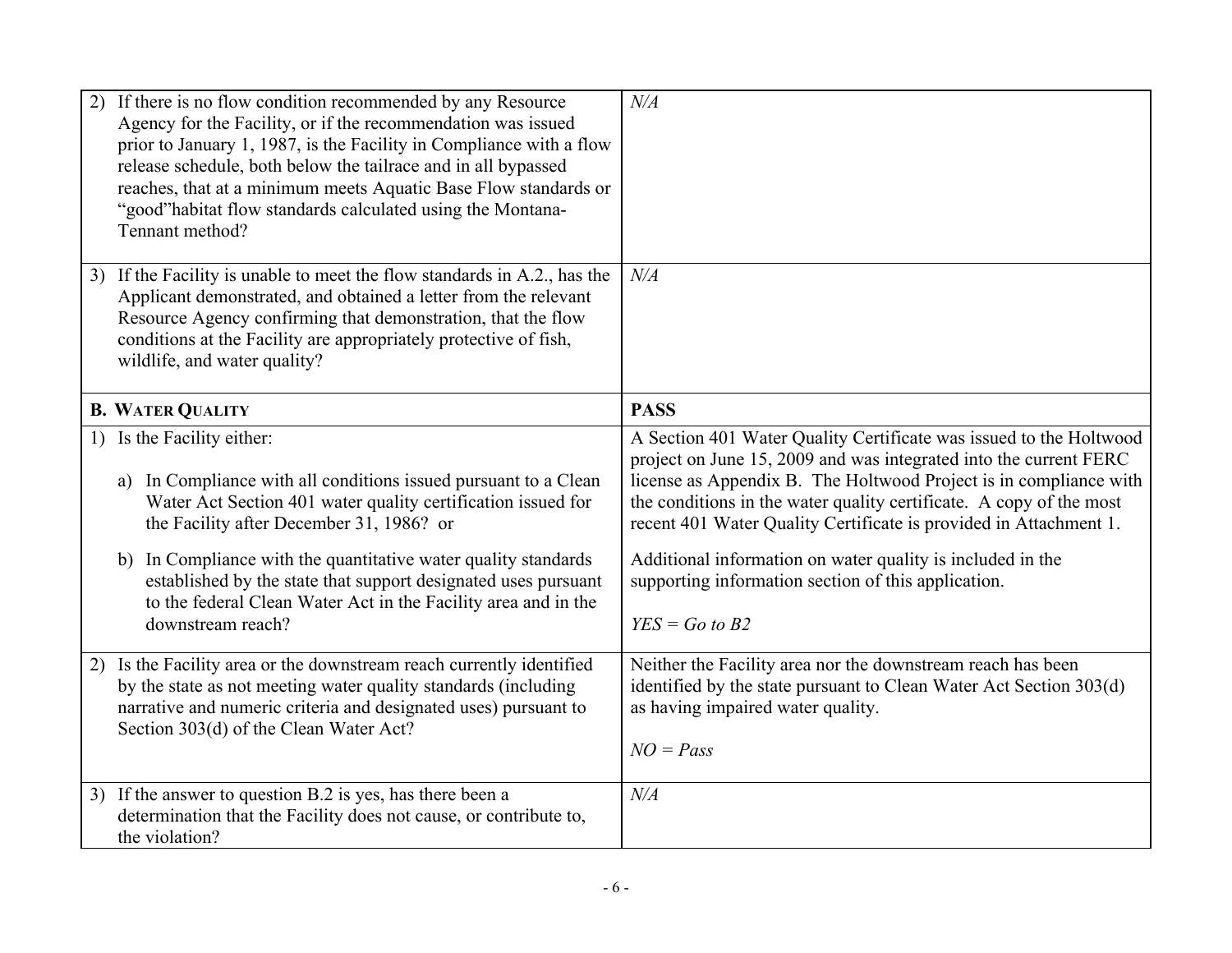| 2) | If there is no flow condition recommended by any Resource<br>Agency for the Facility, or if the recommendation was issued<br>prior to January 1, 1987, is the Facility in Compliance with a flow<br>release schedule, both below the tailrace and in all bypassed<br>reaches, that at a minimum meets Aquatic Base Flow standards or<br>"good" habitat flow standards calculated using the Montana-<br>Tennant method?                  | N/A                                                                                                                                                                                                                                                                                                                                                                                                                                                                                               |
|----|-----------------------------------------------------------------------------------------------------------------------------------------------------------------------------------------------------------------------------------------------------------------------------------------------------------------------------------------------------------------------------------------------------------------------------------------|---------------------------------------------------------------------------------------------------------------------------------------------------------------------------------------------------------------------------------------------------------------------------------------------------------------------------------------------------------------------------------------------------------------------------------------------------------------------------------------------------|
|    | 3) If the Facility is unable to meet the flow standards in A.2., has the<br>Applicant demonstrated, and obtained a letter from the relevant<br>Resource Agency confirming that demonstration, that the flow<br>conditions at the Facility are appropriately protective of fish,<br>wildlife, and water quality?                                                                                                                         | $N\!/\!A$                                                                                                                                                                                                                                                                                                                                                                                                                                                                                         |
|    | <b>B. WATER QUALITY</b>                                                                                                                                                                                                                                                                                                                                                                                                                 | <b>PASS</b>                                                                                                                                                                                                                                                                                                                                                                                                                                                                                       |
|    | 1) Is the Facility either:<br>In Compliance with all conditions issued pursuant to a Clean<br>a)<br>Water Act Section 401 water quality certification issued for<br>the Facility after December 31, 1986? or<br>b) In Compliance with the quantitative water quality standards<br>established by the state that support designated uses pursuant<br>to the federal Clean Water Act in the Facility area and in the<br>downstream reach? | A Section 401 Water Quality Certificate was issued to the Holtwood<br>project on June 15, 2009 and was integrated into the current FERC<br>license as Appendix B. The Holtwood Project is in compliance with<br>the conditions in the water quality certificate. A copy of the most<br>recent 401 Water Quality Certificate is provided in Attachment 1.<br>Additional information on water quality is included in the<br>supporting information section of this application.<br>$YES = Go to B2$ |
| 2) | Is the Facility area or the downstream reach currently identified<br>by the state as not meeting water quality standards (including<br>narrative and numeric criteria and designated uses) pursuant to<br>Section 303(d) of the Clean Water Act?                                                                                                                                                                                        | Neither the Facility area nor the downstream reach has been<br>identified by the state pursuant to Clean Water Act Section 303(d)<br>as having impaired water quality.<br>$NO = Pass$                                                                                                                                                                                                                                                                                                             |
|    | 3) If the answer to question B.2 is yes, has there been a<br>determination that the Facility does not cause, or contribute to,<br>the violation?                                                                                                                                                                                                                                                                                        | N/A                                                                                                                                                                                                                                                                                                                                                                                                                                                                                               |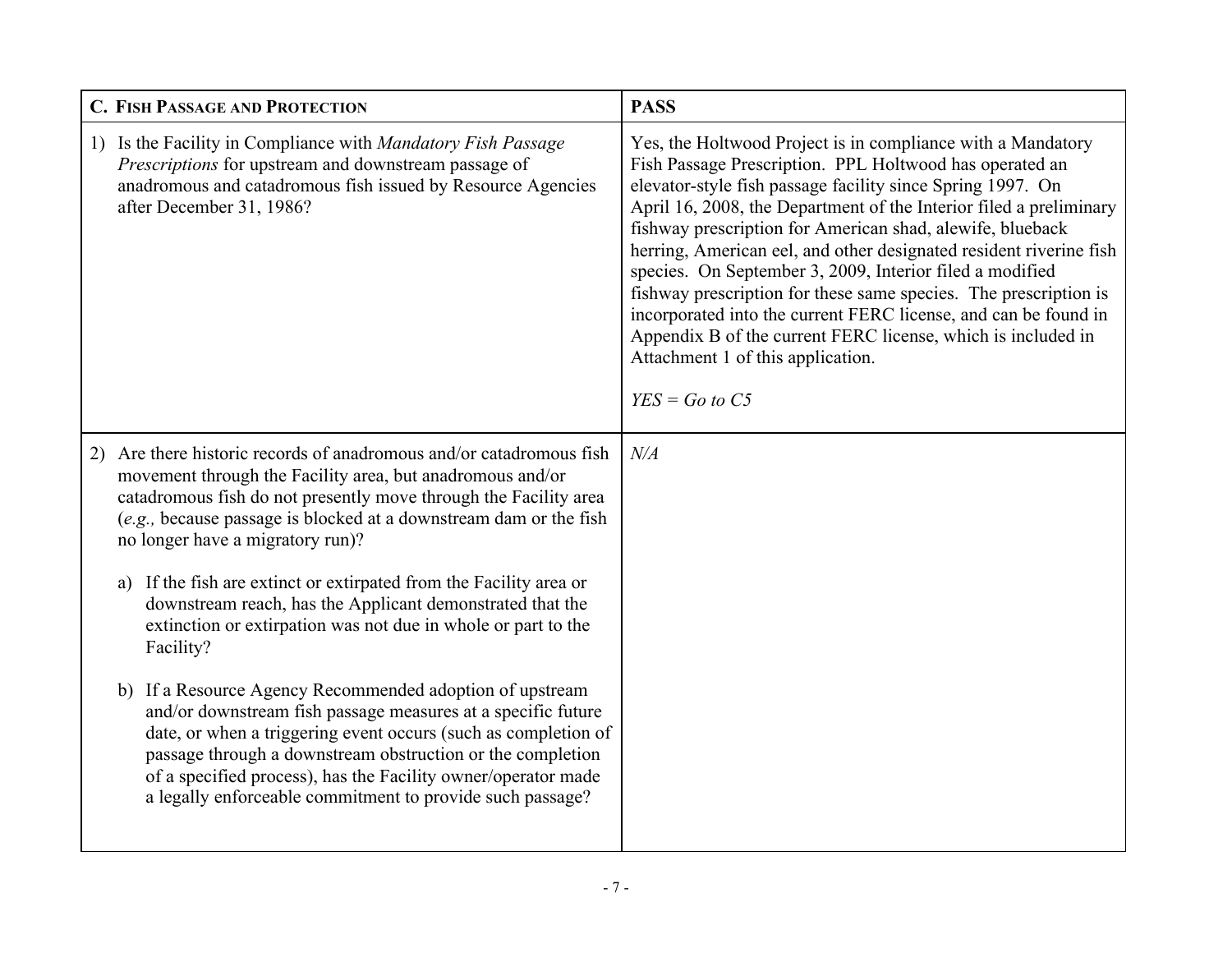| <b>C. FISH PASSAGE AND PROTECTION</b>                                                                                                                                                                                                                                                                                                                                                     | <b>PASS</b>                                                                                                                                                                                                                                                                                                                                                                                                                                                                                                                                                                                                                                                                                                               |
|-------------------------------------------------------------------------------------------------------------------------------------------------------------------------------------------------------------------------------------------------------------------------------------------------------------------------------------------------------------------------------------------|---------------------------------------------------------------------------------------------------------------------------------------------------------------------------------------------------------------------------------------------------------------------------------------------------------------------------------------------------------------------------------------------------------------------------------------------------------------------------------------------------------------------------------------------------------------------------------------------------------------------------------------------------------------------------------------------------------------------------|
| 1) Is the Facility in Compliance with Mandatory Fish Passage<br>Prescriptions for upstream and downstream passage of<br>anadromous and catadromous fish issued by Resource Agencies<br>after December 31, 1986?                                                                                                                                                                           | Yes, the Holtwood Project is in compliance with a Mandatory<br>Fish Passage Prescription. PPL Holtwood has operated an<br>elevator-style fish passage facility since Spring 1997. On<br>April 16, 2008, the Department of the Interior filed a preliminary<br>fishway prescription for American shad, alewife, blueback<br>herring, American eel, and other designated resident riverine fish<br>species. On September 3, 2009, Interior filed a modified<br>fishway prescription for these same species. The prescription is<br>incorporated into the current FERC license, and can be found in<br>Appendix B of the current FERC license, which is included in<br>Attachment 1 of this application.<br>$YES = Go to C5$ |
| Are there historic records of anadromous and/or catadromous fish<br>2)<br>movement through the Facility area, but anadromous and/or<br>catadromous fish do not presently move through the Facility area<br>(e.g., because passage is blocked at a downstream dam or the fish<br>no longer have a migratory run)?                                                                          | N/A                                                                                                                                                                                                                                                                                                                                                                                                                                                                                                                                                                                                                                                                                                                       |
| If the fish are extinct or extirpated from the Facility area or<br>a)<br>downstream reach, has the Applicant demonstrated that the<br>extinction or extirpation was not due in whole or part to the<br>Facility?                                                                                                                                                                          |                                                                                                                                                                                                                                                                                                                                                                                                                                                                                                                                                                                                                                                                                                                           |
| If a Resource Agency Recommended adoption of upstream<br>b)<br>and/or downstream fish passage measures at a specific future<br>date, or when a triggering event occurs (such as completion of<br>passage through a downstream obstruction or the completion<br>of a specified process), has the Facility owner/operator made<br>a legally enforceable commitment to provide such passage? |                                                                                                                                                                                                                                                                                                                                                                                                                                                                                                                                                                                                                                                                                                                           |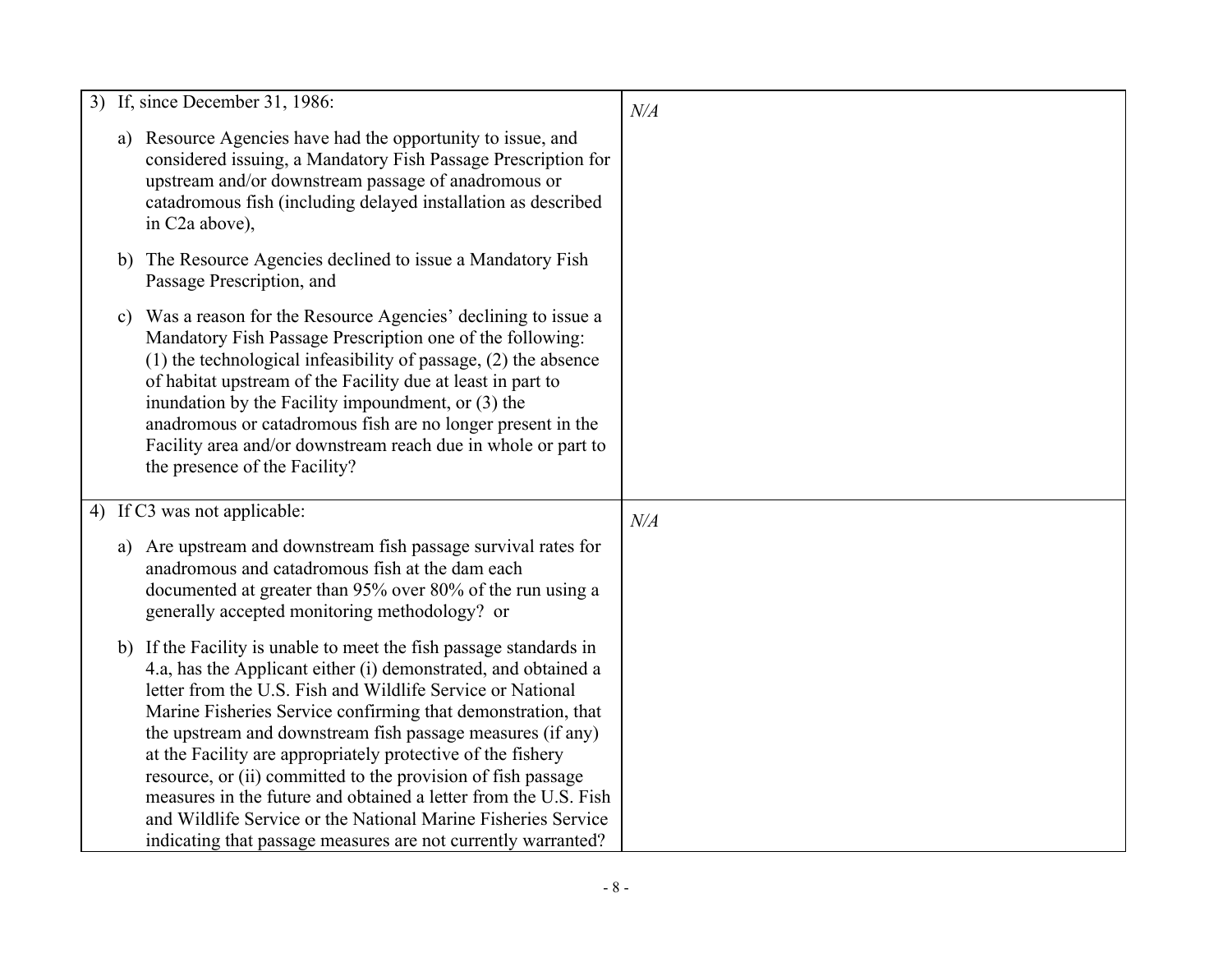|  | 3) If, since December 31, 1986:                                                                                                                                                                                                                                                                                                                                                                                                                                                                                                                                                                                                                                      | $N\!/\!A$ |
|--|----------------------------------------------------------------------------------------------------------------------------------------------------------------------------------------------------------------------------------------------------------------------------------------------------------------------------------------------------------------------------------------------------------------------------------------------------------------------------------------------------------------------------------------------------------------------------------------------------------------------------------------------------------------------|-----------|
|  | a) Resource Agencies have had the opportunity to issue, and<br>considered issuing, a Mandatory Fish Passage Prescription for<br>upstream and/or downstream passage of anadromous or<br>catadromous fish (including delayed installation as described<br>in C <sub>2</sub> a above),                                                                                                                                                                                                                                                                                                                                                                                  |           |
|  | b) The Resource Agencies declined to issue a Mandatory Fish<br>Passage Prescription, and                                                                                                                                                                                                                                                                                                                                                                                                                                                                                                                                                                             |           |
|  | c) Was a reason for the Resource Agencies' declining to issue a<br>Mandatory Fish Passage Prescription one of the following:<br>$(1)$ the technological infeasibility of passage, $(2)$ the absence<br>of habitat upstream of the Facility due at least in part to<br>inundation by the Facility impoundment, or (3) the<br>anadromous or catadromous fish are no longer present in the<br>Facility area and/or downstream reach due in whole or part to<br>the presence of the Facility?                                                                                                                                                                            |           |
|  | 4) If C3 was not applicable:                                                                                                                                                                                                                                                                                                                                                                                                                                                                                                                                                                                                                                         | $N\!/\!A$ |
|  | a) Are upstream and downstream fish passage survival rates for<br>anadromous and catadromous fish at the dam each<br>documented at greater than 95% over 80% of the run using a<br>generally accepted monitoring methodology? or                                                                                                                                                                                                                                                                                                                                                                                                                                     |           |
|  | b) If the Facility is unable to meet the fish passage standards in<br>4.a, has the Applicant either (i) demonstrated, and obtained a<br>letter from the U.S. Fish and Wildlife Service or National<br>Marine Fisheries Service confirming that demonstration, that<br>the upstream and downstream fish passage measures (if any)<br>at the Facility are appropriately protective of the fishery<br>resource, or (ii) committed to the provision of fish passage<br>measures in the future and obtained a letter from the U.S. Fish<br>and Wildlife Service or the National Marine Fisheries Service<br>indicating that passage measures are not currently warranted? |           |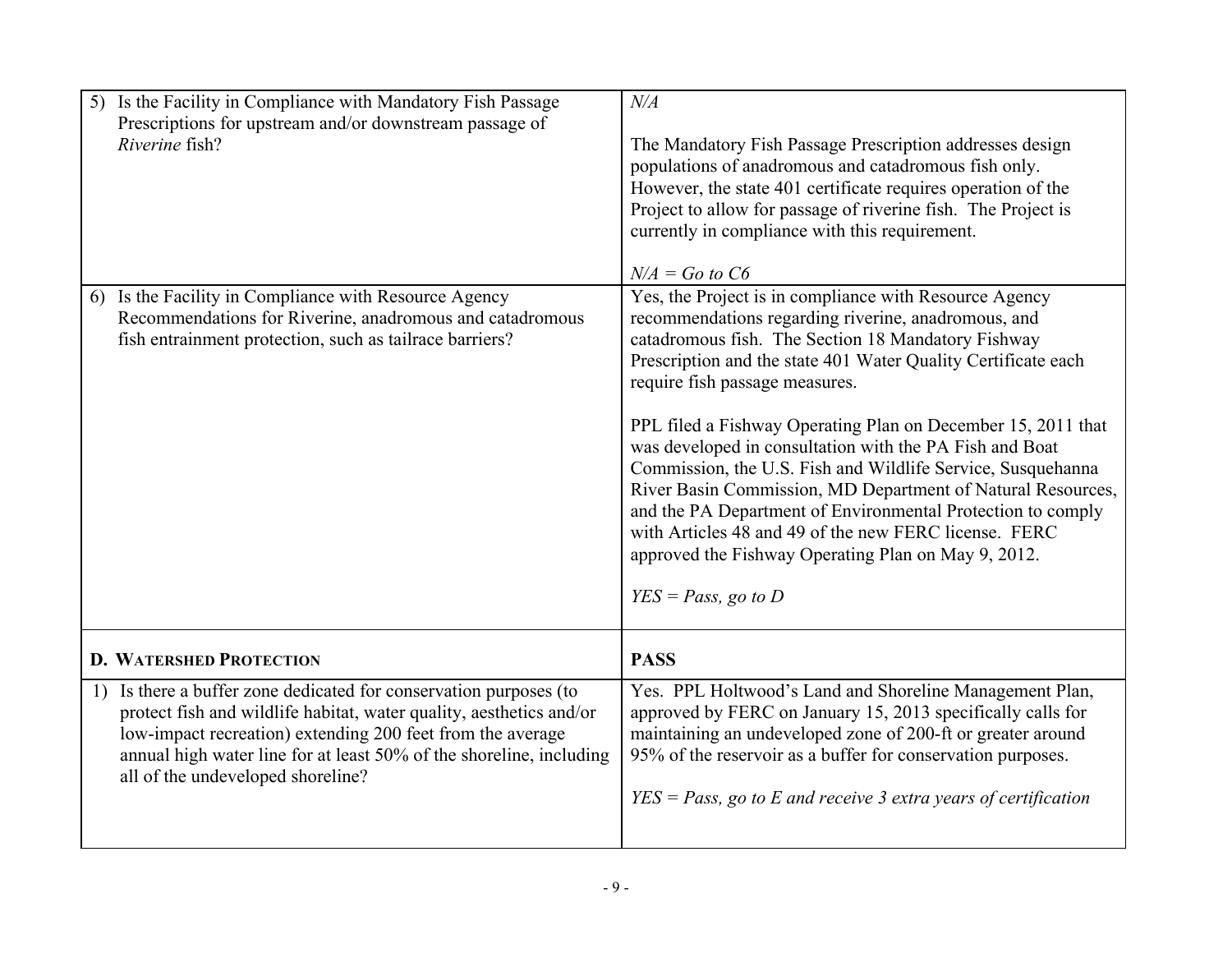| Is the Facility in Compliance with Mandatory Fish Passage<br>5)<br>Prescriptions for upstream and/or downstream passage of<br>Riverine fish?                                                                                                                                                                          | $N\!/\!A$<br>The Mandatory Fish Passage Prescription addresses design<br>populations of anadromous and catadromous fish only.<br>However, the state 401 certificate requires operation of the<br>Project to allow for passage of riverine fish. The Project is<br>currently in compliance with this requirement.                                                                                                                                                                                                                                                                                                                                                                                                                                               |
|-----------------------------------------------------------------------------------------------------------------------------------------------------------------------------------------------------------------------------------------------------------------------------------------------------------------------|----------------------------------------------------------------------------------------------------------------------------------------------------------------------------------------------------------------------------------------------------------------------------------------------------------------------------------------------------------------------------------------------------------------------------------------------------------------------------------------------------------------------------------------------------------------------------------------------------------------------------------------------------------------------------------------------------------------------------------------------------------------|
| 6) Is the Facility in Compliance with Resource Agency<br>Recommendations for Riverine, anadromous and catadromous<br>fish entrainment protection, such as tailrace barriers?                                                                                                                                          | $N/A = Go$ to $C6$<br>Yes, the Project is in compliance with Resource Agency<br>recommendations regarding riverine, anadromous, and<br>catadromous fish. The Section 18 Mandatory Fishway<br>Prescription and the state 401 Water Quality Certificate each<br>require fish passage measures.<br>PPL filed a Fishway Operating Plan on December 15, 2011 that<br>was developed in consultation with the PA Fish and Boat<br>Commission, the U.S. Fish and Wildlife Service, Susquehanna<br>River Basin Commission, MD Department of Natural Resources,<br>and the PA Department of Environmental Protection to comply<br>with Articles 48 and 49 of the new FERC license. FERC<br>approved the Fishway Operating Plan on May 9, 2012.<br>$YES = Pass$ , go to D |
| <b>D. WATERSHED PROTECTION</b>                                                                                                                                                                                                                                                                                        | <b>PASS</b>                                                                                                                                                                                                                                                                                                                                                                                                                                                                                                                                                                                                                                                                                                                                                    |
| Is there a buffer zone dedicated for conservation purposes (to<br>1)<br>protect fish and wildlife habitat, water quality, aesthetics and/or<br>low-impact recreation) extending 200 feet from the average<br>annual high water line for at least 50% of the shoreline, including<br>all of the undeveloped shoreline? | Yes. PPL Holtwood's Land and Shoreline Management Plan,<br>approved by FERC on January 15, 2013 specifically calls for<br>maintaining an undeveloped zone of 200-ft or greater around<br>95% of the reservoir as a buffer for conservation purposes.<br>$YES = Pass$ , go to E and receive 3 extra years of certification                                                                                                                                                                                                                                                                                                                                                                                                                                      |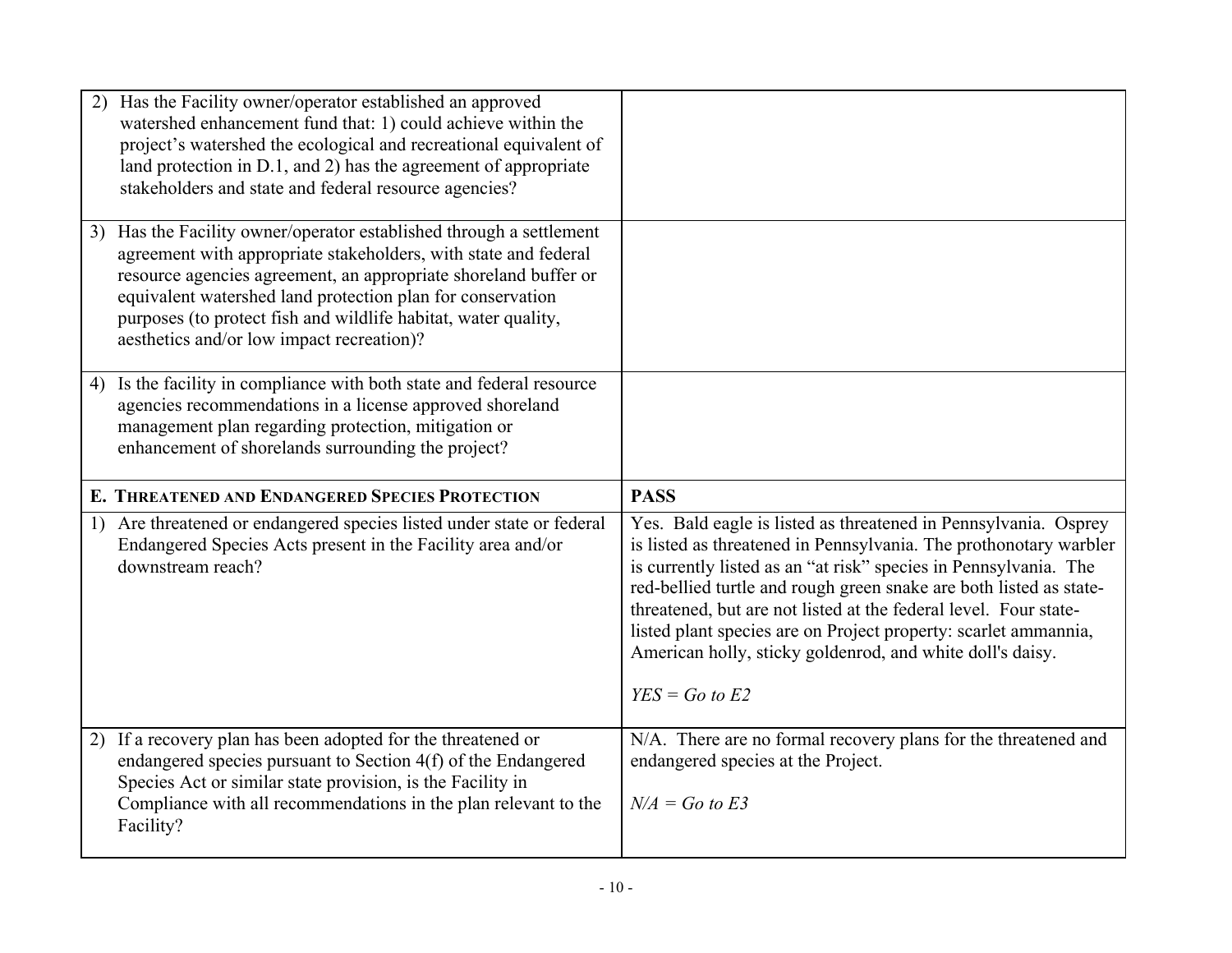|    | 2) Has the Facility owner/operator established an approved<br>watershed enhancement fund that: 1) could achieve within the<br>project's watershed the ecological and recreational equivalent of<br>land protection in D.1, and 2) has the agreement of appropriate<br>stakeholders and state and federal resource agencies?                                                         |                                                                                                                                                                                                                                                                                                                                                                                                                                                                                                        |
|----|-------------------------------------------------------------------------------------------------------------------------------------------------------------------------------------------------------------------------------------------------------------------------------------------------------------------------------------------------------------------------------------|--------------------------------------------------------------------------------------------------------------------------------------------------------------------------------------------------------------------------------------------------------------------------------------------------------------------------------------------------------------------------------------------------------------------------------------------------------------------------------------------------------|
| 3) | Has the Facility owner/operator established through a settlement<br>agreement with appropriate stakeholders, with state and federal<br>resource agencies agreement, an appropriate shoreland buffer or<br>equivalent watershed land protection plan for conservation<br>purposes (to protect fish and wildlife habitat, water quality,<br>aesthetics and/or low impact recreation)? |                                                                                                                                                                                                                                                                                                                                                                                                                                                                                                        |
|    | 4) Is the facility in compliance with both state and federal resource<br>agencies recommendations in a license approved shoreland<br>management plan regarding protection, mitigation or<br>enhancement of shorelands surrounding the project?                                                                                                                                      |                                                                                                                                                                                                                                                                                                                                                                                                                                                                                                        |
|    |                                                                                                                                                                                                                                                                                                                                                                                     |                                                                                                                                                                                                                                                                                                                                                                                                                                                                                                        |
|    | E. THREATENED AND ENDANGERED SPECIES PROTECTION                                                                                                                                                                                                                                                                                                                                     | <b>PASS</b>                                                                                                                                                                                                                                                                                                                                                                                                                                                                                            |
|    | 1) Are threatened or endangered species listed under state or federal<br>Endangered Species Acts present in the Facility area and/or<br>downstream reach?                                                                                                                                                                                                                           | Yes. Bald eagle is listed as threatened in Pennsylvania. Osprey<br>is listed as threatened in Pennsylvania. The prothonotary warbler<br>is currently listed as an "at risk" species in Pennsylvania. The<br>red-bellied turtle and rough green snake are both listed as state-<br>threatened, but are not listed at the federal level. Four state-<br>listed plant species are on Project property: scarlet ammannia,<br>American holly, sticky goldenrod, and white doll's daisy.<br>$YES = Go to E2$ |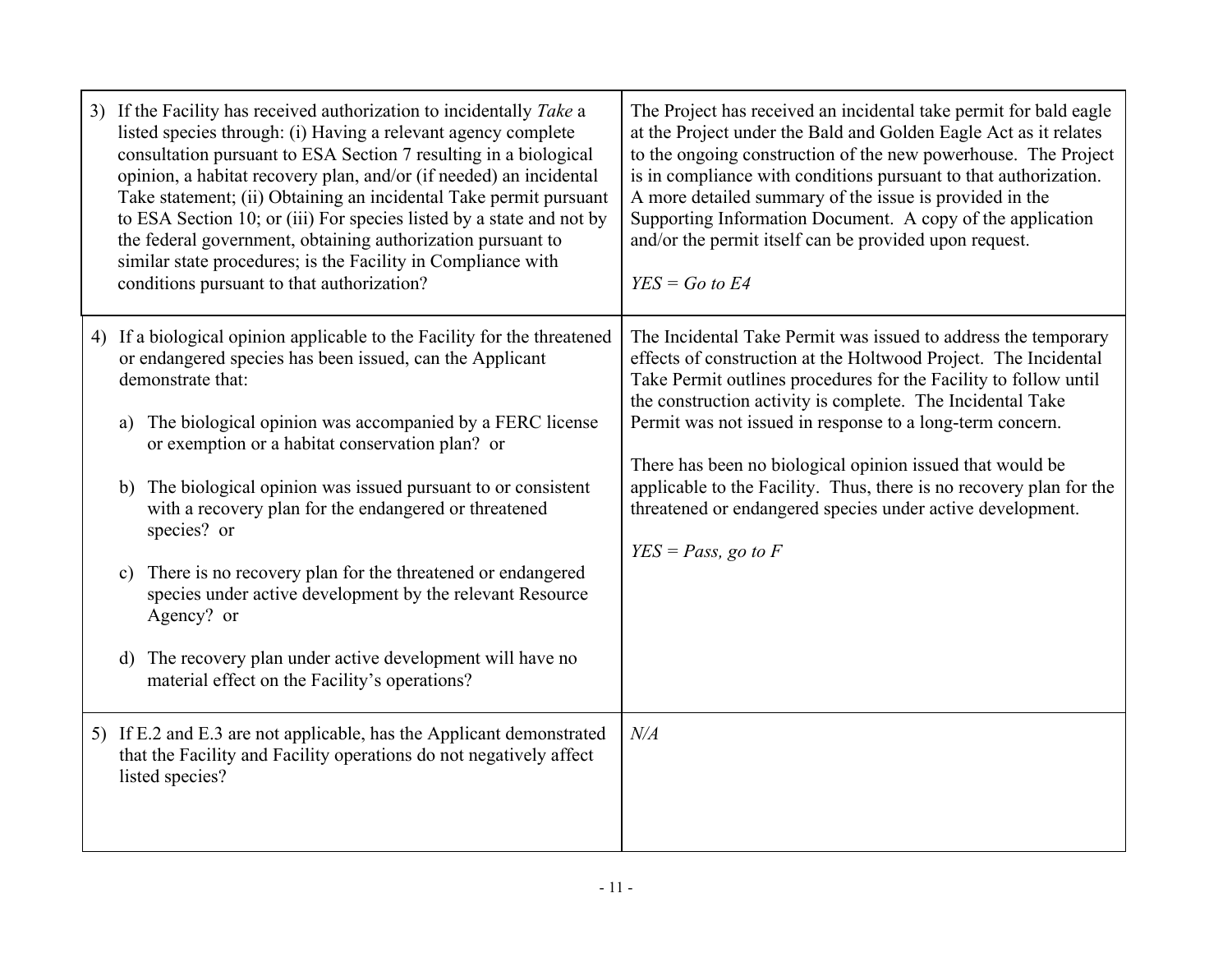| 3) If the Facility has received authorization to incidentally Take a<br>listed species through: (i) Having a relevant agency complete<br>consultation pursuant to ESA Section 7 resulting in a biological<br>opinion, a habitat recovery plan, and/or (if needed) an incidental<br>Take statement; (ii) Obtaining an incidental Take permit pursuant<br>to ESA Section 10; or (iii) For species listed by a state and not by<br>the federal government, obtaining authorization pursuant to<br>similar state procedures; is the Facility in Compliance with<br>conditions pursuant to that authorization?                                                                                            | The Project has received an incidental take permit for bald eagle<br>at the Project under the Bald and Golden Eagle Act as it relates<br>to the ongoing construction of the new powerhouse. The Project<br>is in compliance with conditions pursuant to that authorization.<br>A more detailed summary of the issue is provided in the<br>Supporting Information Document. A copy of the application<br>and/or the permit itself can be provided upon request.<br>$YES = Go to E4$                                                                           |
|------------------------------------------------------------------------------------------------------------------------------------------------------------------------------------------------------------------------------------------------------------------------------------------------------------------------------------------------------------------------------------------------------------------------------------------------------------------------------------------------------------------------------------------------------------------------------------------------------------------------------------------------------------------------------------------------------|--------------------------------------------------------------------------------------------------------------------------------------------------------------------------------------------------------------------------------------------------------------------------------------------------------------------------------------------------------------------------------------------------------------------------------------------------------------------------------------------------------------------------------------------------------------|
| 4) If a biological opinion applicable to the Facility for the threatened<br>or endangered species has been issued, can the Applicant<br>demonstrate that:<br>a) The biological opinion was accompanied by a FERC license<br>or exemption or a habitat conservation plan? or<br>The biological opinion was issued pursuant to or consistent<br>b)<br>with a recovery plan for the endangered or threatened<br>species? or<br>There is no recovery plan for the threatened or endangered<br>$\mathbf{c})$<br>species under active development by the relevant Resource<br>Agency? or<br>The recovery plan under active development will have no<br>d)<br>material effect on the Facility's operations? | The Incidental Take Permit was issued to address the temporary<br>effects of construction at the Holtwood Project. The Incidental<br>Take Permit outlines procedures for the Facility to follow until<br>the construction activity is complete. The Incidental Take<br>Permit was not issued in response to a long-term concern.<br>There has been no biological opinion issued that would be<br>applicable to the Facility. Thus, there is no recovery plan for the<br>threatened or endangered species under active development.<br>$YES = Pass$ , go to F |
| 5) If E.2 and E.3 are not applicable, has the Applicant demonstrated<br>that the Facility and Facility operations do not negatively affect<br>listed species?                                                                                                                                                                                                                                                                                                                                                                                                                                                                                                                                        | N/A                                                                                                                                                                                                                                                                                                                                                                                                                                                                                                                                                          |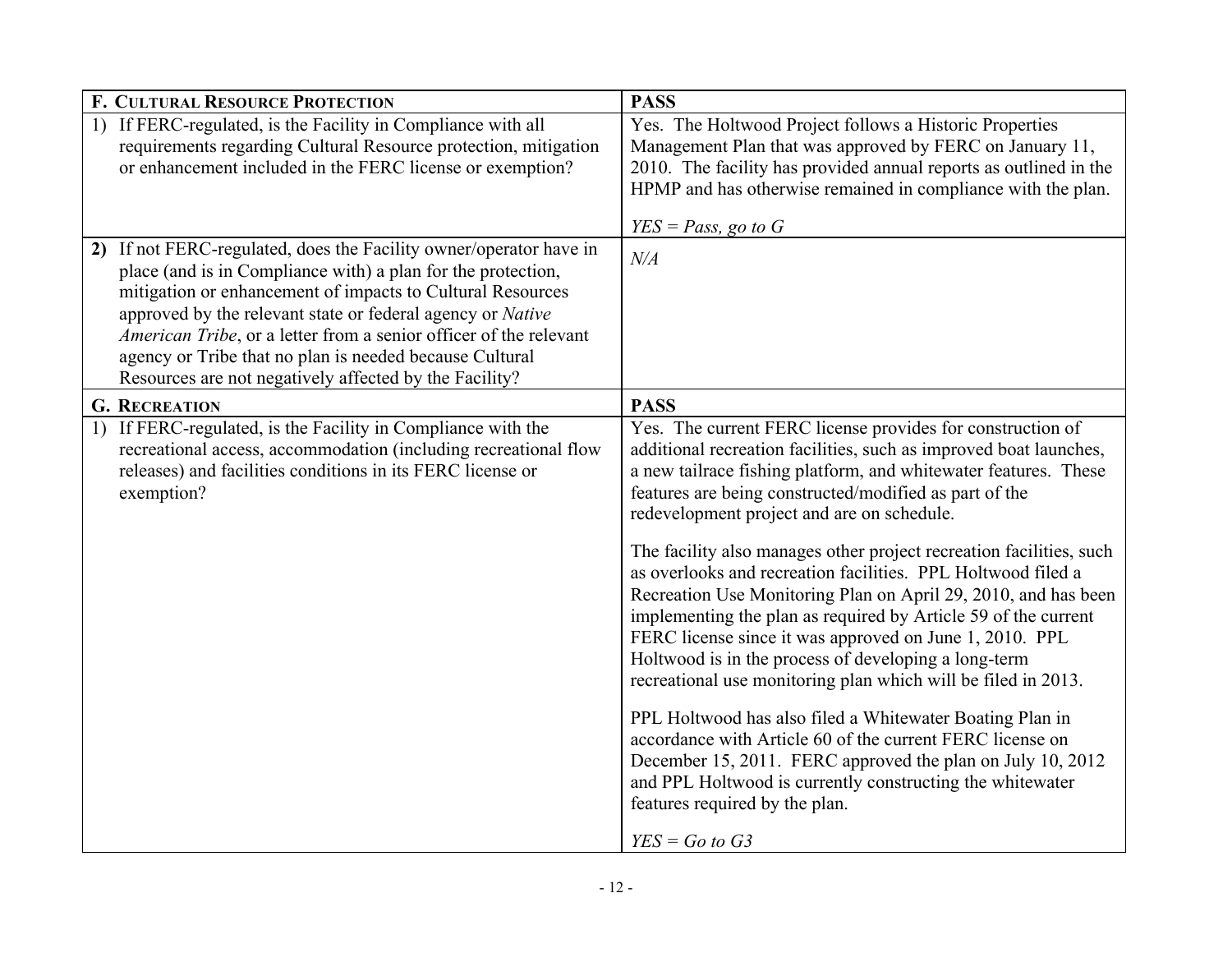| Yes. The Holtwood Project follows a Historic Properties<br>Management Plan that was approved by FERC on January 11,<br>2010. The facility has provided annual reports as outlined in the<br>HPMP and has otherwise remained in compliance with the plan.<br>$YES = Pass$ , go to G                                                                                                                                                                                                                                                                                                                                                                                                                                                                                                                                                                                                                                                                                                                                                                              |
|-----------------------------------------------------------------------------------------------------------------------------------------------------------------------------------------------------------------------------------------------------------------------------------------------------------------------------------------------------------------------------------------------------------------------------------------------------------------------------------------------------------------------------------------------------------------------------------------------------------------------------------------------------------------------------------------------------------------------------------------------------------------------------------------------------------------------------------------------------------------------------------------------------------------------------------------------------------------------------------------------------------------------------------------------------------------|
|                                                                                                                                                                                                                                                                                                                                                                                                                                                                                                                                                                                                                                                                                                                                                                                                                                                                                                                                                                                                                                                                 |
|                                                                                                                                                                                                                                                                                                                                                                                                                                                                                                                                                                                                                                                                                                                                                                                                                                                                                                                                                                                                                                                                 |
|                                                                                                                                                                                                                                                                                                                                                                                                                                                                                                                                                                                                                                                                                                                                                                                                                                                                                                                                                                                                                                                                 |
| Yes. The current FERC license provides for construction of<br>additional recreation facilities, such as improved boat launches,<br>a new tailrace fishing platform, and whitewater features. These<br>features are being constructed/modified as part of the<br>redevelopment project and are on schedule.<br>The facility also manages other project recreation facilities, such<br>as overlooks and recreation facilities. PPL Holtwood filed a<br>Recreation Use Monitoring Plan on April 29, 2010, and has been<br>implementing the plan as required by Article 59 of the current<br>FERC license since it was approved on June 1, 2010. PPL<br>Holtwood is in the process of developing a long-term<br>recreational use monitoring plan which will be filed in 2013.<br>PPL Holtwood has also filed a Whitewater Boating Plan in<br>accordance with Article 60 of the current FERC license on<br>December 15, 2011. FERC approved the plan on July 10, 2012<br>and PPL Holtwood is currently constructing the whitewater<br>features required by the plan. |
|                                                                                                                                                                                                                                                                                                                                                                                                                                                                                                                                                                                                                                                                                                                                                                                                                                                                                                                                                                                                                                                                 |